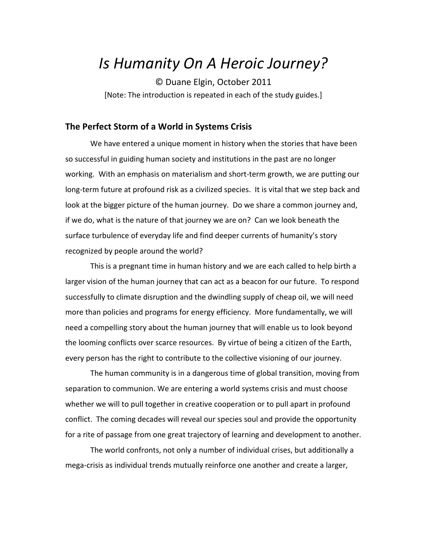# *Is Humanity On A Heroic Journey?*

©"Duane"Elgin,"October 2011 [Note: The introduction is repeated in each of the study guides.]

## **The Perfect Storm of a World in Systems Crisis**

We have entered a unique moment in history when the stories that have been so successful in guiding human society and institutions in the past are no longer working. With an emphasis on materialism and short-term growth, we are putting our long-term future at profound risk as a civilized species. It is vital that we step back and look at the bigger picture of the human journey. Do we share a common journey and, if we do, what is the nature of that journey we are on? Can we look beneath the surface turbulence of everyday life and find deeper currents of humanity's story recognized by people around the world?

This is a pregnant time in human history and we are each called to help birth a larger vision of the human journey that can act as a beacon for our future. To respond successfully to climate disruption and the dwindling supply of cheap oil, we will need more than policies and programs for energy efficiency. More fundamentally, we will need a compelling story about the human journey that will enable us to look beyond the looming conflicts over scarce resources. By virtue of being a citizen of the Earth, every person has the right to contribute to the collective visioning of our journey.

The human community is in a dangerous time of global transition, moving from separation to communion. We are entering a world systems crisis and must choose whether we will to pull together in creative cooperation or to pull apart in profound conflict. The coming decades will reveal our species soul and provide the opportunity for a rite of passage from one great trajectory of learning and development to another.

The world confronts, not only a number of individual crises, but additionally a mega-crisis as individual trends mutually reinforce one another and create a larger,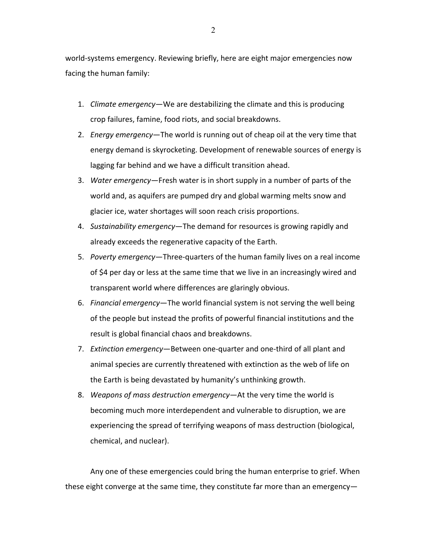world-systems emergency. Reviewing briefly, here are eight major emergencies now facing the human family:

- 1. *Climate emergency*—We are destabilizing the climate and this is producing crop failures, famine, food riots, and social breakdowns.
- 2. *Energy emergency*—The world is running out of cheap oil at the very time that energy demand is skyrocketing. Development of renewable sources of energy is lagging far behind and we have a difficult transition ahead.
- 3. Water emergency—Fresh water is in short supply in a number of parts of the world and, as aquifers are pumped dry and global warming melts snow and glacier ice, water shortages will soon reach crisis proportions.
- 4. Sustainability emergency—The demand for resources is growing rapidly and already exceeds the regenerative capacity of the Earth.
- 5. Poverty emergency—Three-quarters of the human family lives on a real income of \$4 per day or less at the same time that we live in an increasingly wired and transparent world where differences are glaringly obvious.
- 6. Financial emergency—The world financial system is not serving the well being of the people but instead the profits of powerful financial institutions and the result is global financial chaos and breakdowns.
- 7. *Extinction emergency*—Between one-quarter and one-third of all plant and animal species are currently threatened with extinction as the web of life on the Earth is being devastated by humanity's unthinking growth.
- 8. *Weapons of mass destruction emergency*—At the very time the world is becoming much more interdependent and vulnerable to disruption, we are experiencing the spread of terrifying weapons of mass destruction (biological, chemical, and nuclear).

Any one of these emergencies could bring the human enterprise to grief. When these eight converge at the same time, they constitute far more than an emergency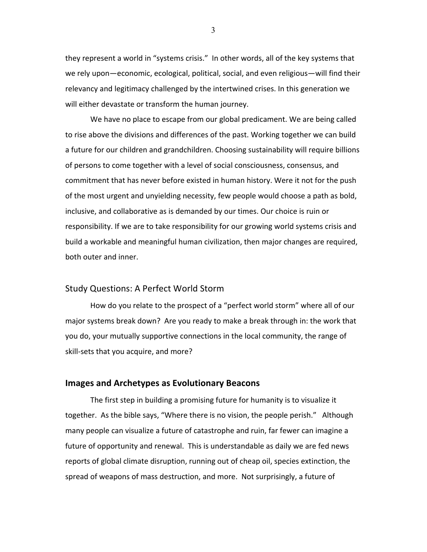they represent a world in "systems crisis." In other words, all of the key systems that we rely upon—economic, ecological, political, social, and even religious—will find their relevancy and legitimacy challenged by the intertwined crises. In this generation we will either devastate or transform the human journey.

We have no place to escape from our global predicament. We are being called to rise above the divisions and differences of the past. Working together we can build a future for our children and grandchildren. Choosing sustainability will require billions of persons to come together with a level of social consciousness, consensus, and commitment that has never before existed in human history. Were it not for the push of the most urgent and unyielding necessity, few people would choose a path as bold, inclusive, and collaborative as is demanded by our times. Our choice is ruin or responsibility. If we are to take responsibility for our growing world systems crisis and build a workable and meaningful human civilization, then major changes are required, both outer and inner.

## Study Questions: A Perfect World Storm

How do you relate to the prospect of a "perfect world storm" where all of our major systems break down? Are you ready to make a break through in: the work that you do, your mutually supportive connections in the local community, the range of skill-sets that you acquire, and more?

#### **Images and Archetypes as Evolutionary Beacons**

The first step in building a promising future for humanity is to visualize it together. As the bible says, "Where there is no vision, the people perish." Although many people can visualize a future of catastrophe and ruin, far fewer can imagine a future of opportunity and renewal. This is understandable as daily we are fed news reports of global climate disruption, running out of cheap oil, species extinction, the spread of weapons of mass destruction, and more. Not surprisingly, a future of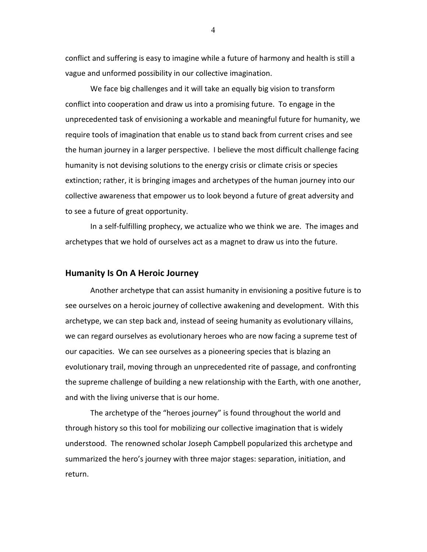conflict and suffering is easy to imagine while a future of harmony and health is still a vague and unformed possibility in our collective imagination.

We face big challenges and it will take an equally big vision to transform conflict into cooperation and draw us into a promising future. To engage in the unprecedented task of envisioning a workable and meaningful future for humanity, we require tools of imagination that enable us to stand back from current crises and see the human journey in a larger perspective. I believe the most difficult challenge facing humanity is not devising solutions to the energy crisis or climate crisis or species extinction; rather, it is bringing images and archetypes of the human journey into our collective awareness that empower us to look beyond a future of great adversity and to see a future of great opportunity.

In a self-fulfilling prophecy, we actualize who we think we are. The images and archetypes that we hold of ourselves act as a magnet to draw us into the future.

#### **Humanity Is On A Heroic Journey**

Another archetype that can assist humanity in envisioning a positive future is to see ourselves on a heroic journey of collective awakening and development. With this archetype, we can step back and, instead of seeing humanity as evolutionary villains, we can regard ourselves as evolutionary heroes who are now facing a supreme test of our capacities. We can see ourselves as a pioneering species that is blazing an evolutionary trail, moving through an unprecedented rite of passage, and confronting the supreme challenge of building a new relationship with the Earth, with one another, and with the living universe that is our home.

The archetype of the "heroes journey" is found throughout the world and through history so this tool for mobilizing our collective imagination that is widely understood. The renowned scholar Joseph Campbell popularized this archetype and summarized the hero's journey with three major stages: separation, initiation, and return.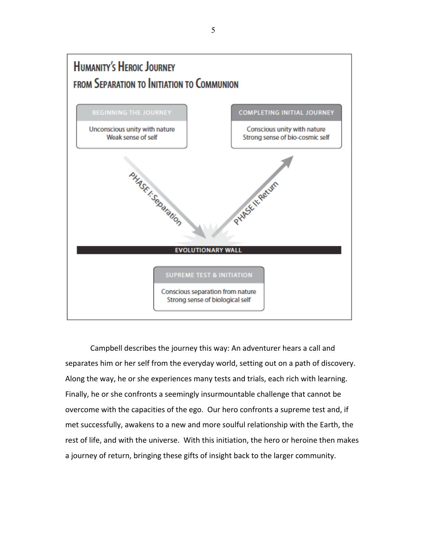

Campbell describes the journey this way: An adventurer hears a call and separates him or her self from the everyday world, setting out on a path of discovery. Along the way, he or she experiences many tests and trials, each rich with learning. Finally, he or she confronts a seemingly insurmountable challenge that cannot be overcome with the capacities of the ego. Our hero confronts a supreme test and, if met successfully, awakens to a new and more soulful relationship with the Earth, the rest of life, and with the universe. With this initiation, the hero or heroine then makes a journey of return, bringing these gifts of insight back to the larger community.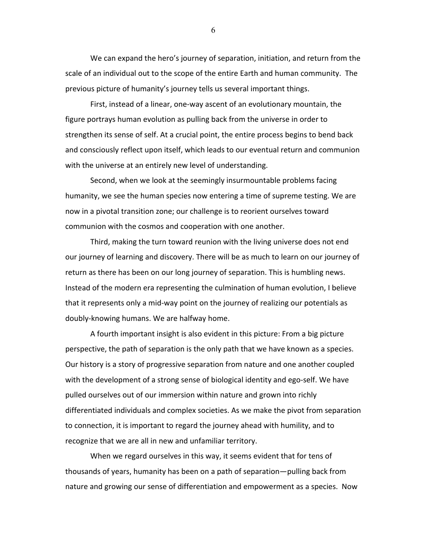We can expand the hero's journey of separation, initiation, and return from the scale of an individual out to the scope of the entire Earth and human community. The previous picture of humanity's journey tells us several important things.

First, instead of a linear, one-way ascent of an evolutionary mountain, the figure portrays human evolution as pulling back from the universe in order to strengthen its sense of self. At a crucial point, the entire process begins to bend back and consciously reflect upon itself, which leads to our eventual return and communion with the universe at an entirely new level of understanding.

Second, when we look at the seemingly insurmountable problems facing humanity, we see the human species now entering a time of supreme testing. We are now in a pivotal transition zone; our challenge is to reorient ourselves toward communion with the cosmos and cooperation with one another.

Third, making the turn toward reunion with the living universe does not end our journey of learning and discovery. There will be as much to learn on our journey of return as there has been on our long journey of separation. This is humbling news. Instead of the modern era representing the culmination of human evolution, I believe that it represents only a mid-way point on the journey of realizing our potentials as doubly-knowing humans. We are halfway home.

A fourth important insight is also evident in this picture: From a big picture perspective, the path of separation is the only path that we have known as a species. Our history is a story of progressive separation from nature and one another coupled with the development of a strong sense of biological identity and ego-self. We have pulled ourselves out of our immersion within nature and grown into richly differentiated individuals and complex societies. As we make the pivot from separation to connection, it is important to regard the journey ahead with humility, and to recognize that we are all in new and unfamiliar territory.

When we regard ourselves in this way, it seems evident that for tens of thousands of years, humanity has been on a path of separation—pulling back from nature and growing our sense of differentiation and empowerment as a species. Now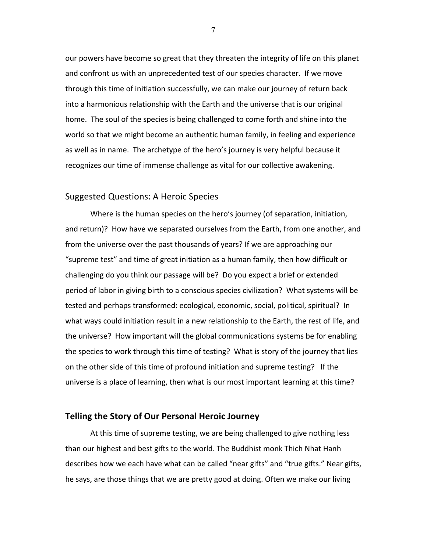our powers have become so great that they threaten the integrity of life on this planet and confront us with an unprecedented test of our species character. If we move through this time of initiation successfully, we can make our journey of return back into a harmonious relationship with the Earth and the universe that is our original home. The soul of the species is being challenged to come forth and shine into the world so that we might become an authentic human family, in feeling and experience as well as in name. The archetype of the hero's journey is very helpful because it recognizes our time of immense challenge as vital for our collective awakening.

#### Suggested Questions: A Heroic Species

Where is the human species on the hero's journey (of separation, initiation, and return)? How have we separated ourselves from the Earth, from one another, and from the universe over the past thousands of years? If we are approaching our "supreme test" and time of great initiation as a human family, then how difficult or challenging do you think our passage will be? Do you expect a brief or extended period of labor in giving birth to a conscious species civilization? What systems will be tested and perhaps transformed: ecological, economic, social, political, spiritual? In what ways could initiation result in a new relationship to the Earth, the rest of life, and the universe? How important will the global communications systems be for enabling the species to work through this time of testing? What is story of the journey that lies on the other side of this time of profound initiation and supreme testing? If the universe is a place of learning, then what is our most important learning at this time?

#### **Telling the Story of Our Personal Heroic Journey**

At this time of supreme testing, we are being challenged to give nothing less than our highest and best gifts to the world. The Buddhist monk Thich Nhat Hanh describes how we each have what can be called "near gifts" and "true gifts." Near gifts, he says, are those things that we are pretty good at doing. Often we make our living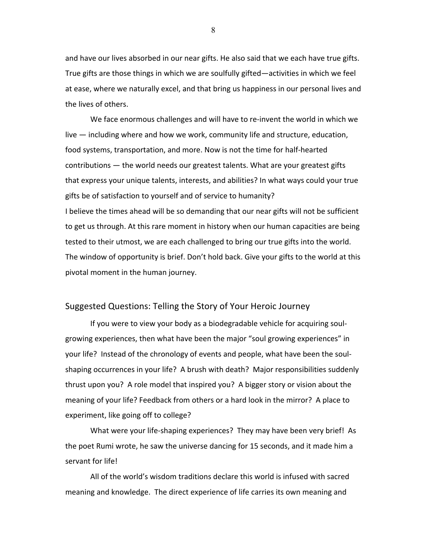and have our lives absorbed in our near gifts. He also said that we each have true gifts. True gifts are those things in which we are soulfully gifted—activities in which we feel at ease, where we naturally excel, and that bring us happiness in our personal lives and the lives of others.

We face enormous challenges and will have to re-invent the world in which we live — including where and how we work, community life and structure, education, food systems, transportation, and more. Now is not the time for half-hearted contributions — the world needs our greatest talents. What are your greatest gifts that express your unique talents, interests, and abilities? In what ways could your true gifts be of satisfaction to yourself and of service to humanity? I believe the times ahead will be so demanding that our near gifts will not be sufficient to get us through. At this rare moment in history when our human capacities are being tested to their utmost, we are each challenged to bring our true gifts into the world. The window of opportunity is brief. Don't hold back. Give your gifts to the world at this pivotal moment in the human journey.

### Suggested Questions: Telling the Story of Your Heroic Journey

If you were to view your body as a biodegradable vehicle for acquiring soulgrowing experiences, then what have been the major "soul growing experiences" in your life? Instead of the chronology of events and people, what have been the soulshaping occurrences in your life? A brush with death? Major responsibilities suddenly thrust upon you? A role model that inspired you? A bigger story or vision about the meaning of your life? Feedback from others or a hard look in the mirror? A place to experiment, like going off to college?

What were your life-shaping experiences? They may have been very brief! As the poet Rumi wrote, he saw the universe dancing for 15 seconds, and it made him a servant for life!

All of the world's wisdom traditions declare this world is infused with sacred meaning and knowledge. The direct experience of life carries its own meaning and